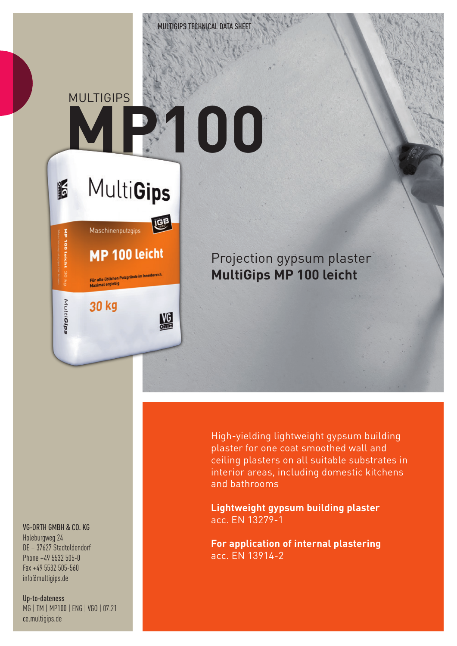**MULTIGIPS** 

 $\frac{1}{2}$ 

õ

MultiGips

**MultiGips** 

MP 100 leicht

Für alle üblichen Putzgründe im Innenbereich<br>Maximal ergiebig

Maschinenputzgips

30 kg

LEB

鰮

## **MP100**

## Projection gypsum plaster **MultiGips MP 100 leicht**

VG-ORTH GMBH & CO. KG

Holeburgweg 24 DE – 37627 Stadtoldendorf Phone +49 5532 505-0 Fax +49 5532 505-560 info@multigips.de

Up-to-dateness MG | TM | MP100 | ENG | VGO | 07.21 ce.multigips.de

High-yielding lightweight gypsum building plaster for one coat smoothed wall and ceiling plasters on all suitable substrates in interior areas, including domestic kitchens and bathrooms

**Lightweight gypsum building plaster** acc. EN 13279-1

**For application of internal plastering** acc. EN 13914-2